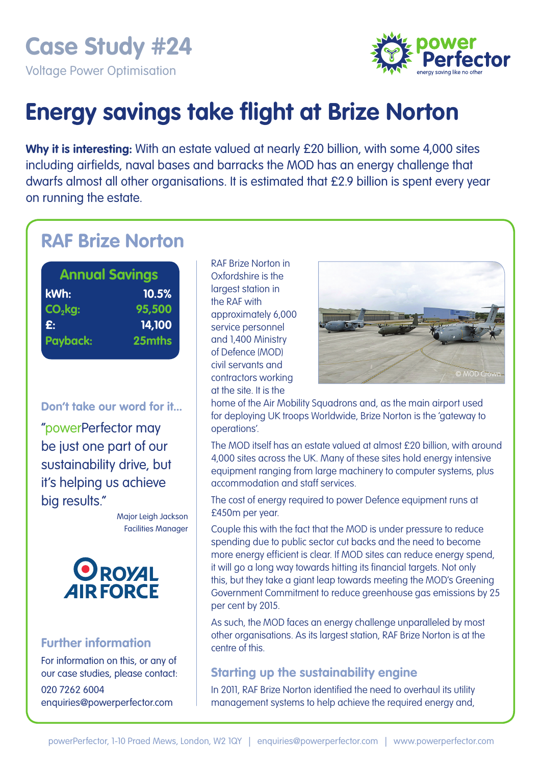**Case Study #24** 

Voltage Power Optimisation



# **Energy savings take flight at Brize Norton**

**Why it is interesting:** With an estate valued at nearly £20 billion, with some 4,000 sites including airfields, naval bases and barracks the MOD has an energy challenge that dwarfs almost all other organisations. It is estimated that £2.9 billion is spent every year on running the estate.

## **RAF Brize Norton**

| <b>Annual Savings</b> |        |
|-----------------------|--------|
| kWh:                  | 10.5%  |
| $CO2$ kg:             | 95,500 |
| $\mathbf{E}$ :        | 14,100 |
| <b>Payback:</b>       | 25mths |

**Don't take our word for it...** 

"powerPerfector may be just one part of our sustainability drive, but it's helping us achieve big results."

> Major Leigh Jackson Facilities Manager



#### **Further information**

For information on this, or any of our case studies, please contact: 020 7262 6004 enquiries@powerperfector.com

RAF Brize Norton in Oxfordshire is the largest station in the RAF with approximately 6,000 service personnel and 1,400 Ministry of Defence (MOD) civil servants and contractors working at the site. It is the



home of the Air Mobility Squadrons and, as the main airport used for deploying UK troops Worldwide, Brize Norton is the 'gateway to operations'.

The MOD itself has an estate valued at almost £20 billion, with around 4,000 sites across the UK. Many of these sites hold energy intensive equipment ranging from large machinery to computer systems, plus accommodation and staff services.

The cost of energy required to power Defence equipment runs at £450m per year.

Couple this with the fact that the MOD is under pressure to reduce spending due to public sector cut backs and the need to become more energy efficient is clear. If MOD sites can reduce energy spend, it will go a long way towards hitting its financial targets. Not only this, but they take a giant leap towards meeting the MOD's Greening Government Commitment to reduce greenhouse gas emissions by 25 per cent by 2015.

As such, the MOD faces an energy challenge unparalleled by most other organisations. As its largest station, RAF Brize Norton is at the centre of this.

### **Starting up the sustainability engine**

In 2011, RAF Brize Norton identified the need to overhaul its utility management systems to help achieve the required energy and,